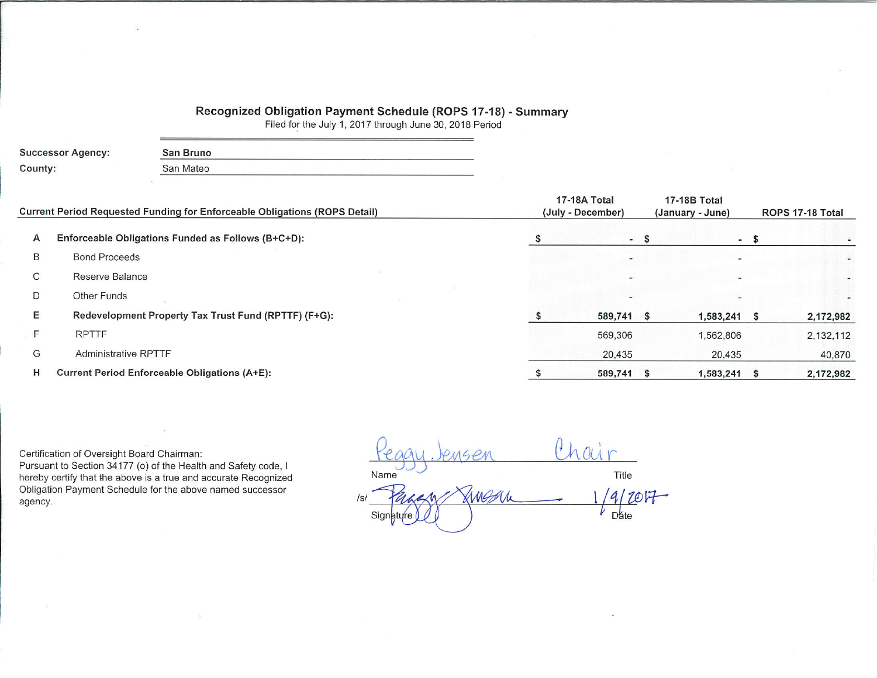## Recognized Obligation Payment Schedule (ROPS 17-18) - Summary

Filed for the July 1, 2017 through June 30, 2018 Period

| <b>Successor Agency:</b> | San Bruno |  |
|--------------------------|-----------|--|
| County:                  | San Mateo |  |

|   | Current Period Requested Funding for Enforceable Obligations (ROPS Detail) | 17-18A Total<br>(July - December) | 17-18B Total<br>(January - June) |      | ROPS 17-18 Total |
|---|----------------------------------------------------------------------------|-----------------------------------|----------------------------------|------|------------------|
| A | Enforceable Obligations Funded as Follows (B+C+D):                         | $-$ \$                            |                                  | $-5$ |                  |
| B | <b>Bond Proceeds</b>                                                       |                                   |                                  |      |                  |
| С | Reserve Balance                                                            |                                   |                                  |      |                  |
| D | Other Funds                                                                |                                   |                                  |      |                  |
| E | Redevelopment Property Tax Trust Fund (RPTTF) (F+G):                       | 589,741                           | $1,583,241$ \$<br>- 55           |      | 2,172,982        |
|   | <b>RPTTF</b>                                                               | 569,306                           | 1,562,806                        |      | 2,132,112        |
| G | <b>Administrative RPTTF</b>                                                | 20,435                            | 20,435                           |      | 40,870           |
| н | Current Period Enforceable Obligations (A+E):                              | 589,741                           | $1,583,241$ \$                   |      | 2,172,982        |

Certification of Oversight Board Chairman: Pursuant to Section 34177 (o) of the Health and Safety code, I hereby certify that the above is a true and accurate Recognized Obligation Payment Schedule for the above named successor agency.

hair  $16P$ Title Name AMBON  $19/207 |s|$  $D$ ate Signature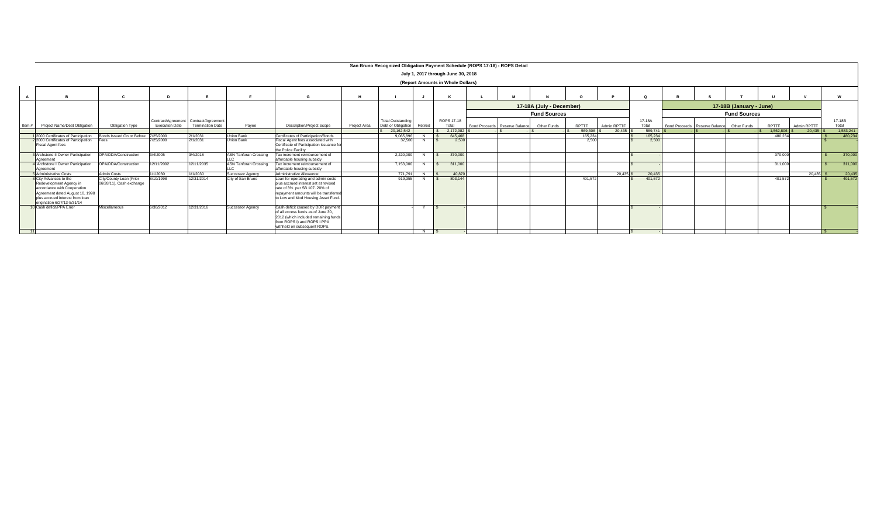|       |                                                                                                                                                                                       |                                                     |                       |                                                                  |                              |                                                                                                                                                                                            |              | San Bruno Recognized Obligation Payment Schedule (ROPS 17-18) - ROPS Detail |                 |                                    |                               |                          |         |             |                 |                                           |                         |              |             |                 |
|-------|---------------------------------------------------------------------------------------------------------------------------------------------------------------------------------------|-----------------------------------------------------|-----------------------|------------------------------------------------------------------|------------------------------|--------------------------------------------------------------------------------------------------------------------------------------------------------------------------------------------|--------------|-----------------------------------------------------------------------------|-----------------|------------------------------------|-------------------------------|--------------------------|---------|-------------|-----------------|-------------------------------------------|-------------------------|--------------|-------------|-----------------|
|       |                                                                                                                                                                                       |                                                     |                       |                                                                  |                              |                                                                                                                                                                                            |              |                                                                             |                 | July 1, 2017 through June 30, 2018 |                               |                          |         |             |                 |                                           |                         |              |             |                 |
|       |                                                                                                                                                                                       |                                                     |                       |                                                                  |                              |                                                                                                                                                                                            |              |                                                                             |                 | (Report Amounts in Whole Dollars)  |                               |                          |         |             |                 |                                           |                         |              |             |                 |
|       |                                                                                                                                                                                       |                                                     | <b>D</b>              |                                                                  |                              |                                                                                                                                                                                            |              |                                                                             |                 |                                    |                               |                          |         |             |                 |                                           |                         | $\mathbf{u}$ |             |                 |
|       |                                                                                                                                                                                       |                                                     |                       |                                                                  |                              |                                                                                                                                                                                            |              |                                                                             |                 |                                    |                               | 17-18A (July - December) |         |             |                 |                                           | 17-18B (January - June) |              |             |                 |
|       |                                                                                                                                                                                       |                                                     |                       |                                                                  |                              |                                                                                                                                                                                            |              |                                                                             |                 |                                    |                               | <b>Fund Sources</b>      |         |             |                 |                                           | <b>Fund Sources</b>     |              |             |                 |
| Item# | Project Name/Debt Obligation                                                                                                                                                          | <b>Obligation Type</b>                              | <b>Execution Date</b> | Contract/Agreement Contract/Agreement<br><b>Termination Date</b> | Payee                        | <b>Description/Project Scope</b>                                                                                                                                                           | Project Area | <b>Total Outstanding</b><br>Debt or Obligation                              | Retired         | ROPS 17-18<br>Total                | Bond Proceeds Reserve Balance | Other Funds              | RPTTF   | Admin RPTTF | 17-18A<br>Total | Bond Proceeds Reserve Balance Other Funds |                         | RPTTF        | Admin RPTTF | 17-18B<br>Total |
|       |                                                                                                                                                                                       |                                                     |                       |                                                                  |                              |                                                                                                                                                                                            |              | \$20.162.542                                                                |                 | 2.172.982                          |                               |                          | 569,306 |             | 589,741         |                                           |                         | 1.562.806    | $20.435$ S  | 1.583.24        |
|       | 2000 Certificates of Participation                                                                                                                                                    | Bonds Issued On or Before                           | 7/25/2000             | 2/1/2031                                                         | <b>Union Bank</b>            | Certificates of Participation/Bonds                                                                                                                                                        |              | 9.065.896                                                                   |                 | 645.468                            |                               |                          | 165,234 |             | 165,234         |                                           |                         | 480.234      |             | 480.23          |
|       | 2 2000 Certificates of Participation<br><b>Fiscal Agent fees</b>                                                                                                                      |                                                     | 7/25/2000             | 2/1/2031                                                         | <b>Union Bank</b>            | Fiscal Agent fees associated with<br>Certificate of Participation issuance for<br>the Police Facility                                                                                      |              | 32,500                                                                      |                 | 2.500                              |                               |                          | 2.500   |             | 2,500           |                                           |                         |              |             |                 |
|       | <b>BArchstone II Owner Participation</b><br>Agreement                                                                                                                                 | OPA/DDA/Construction                                | 3/4/2005              | 3/4/2018                                                         | <b>ASN Tanforan Crossing</b> | Tax increment reimbursement of<br>affordable housing subsidy                                                                                                                               |              | 2.220.000                                                                   |                 | 370,000                            |                               |                          |         |             |                 |                                           |                         | 370,000      |             | 370,000         |
|       | Archstone I Owner Participation<br>Agreement                                                                                                                                          | OPA/DDA/Construction                                | 12/11/2002            | 12/11/2035                                                       | <b>ASN Tanforan Crossing</b> | Tax increment reimbursement of<br>affordable housing subsidy                                                                                                                               |              | 7.153.000                                                                   |                 | 311,000                            |                               |                          |         |             |                 |                                           |                         | 311,000      |             | 311,000         |
|       | <b>Administrative Costs</b>                                                                                                                                                           | <b>Admin Costs</b>                                  | 1/1/2030              | 1/1/2030                                                         | Successor Agency             | Administrative Allowance                                                                                                                                                                   |              | 771.791                                                                     |                 | 40.870                             |                               |                          |         | 20.435      | 20,435          |                                           |                         |              | 20.435      | 20,435          |
|       | 8 City Advances to the<br>Redevelopment Agency in<br>accordance with Cooperation<br>Agreement dated August 10, 1998<br>blus accrued interest from loan<br>origination 6/27/13-5/31/14 | City/County Loan (Prior<br>06/28/11), Cash exchange | 8/10/1998             | 12/31/2014                                                       | City of San Bruno            | Loan for operating and admin costs<br>plus accrued interest set at revised<br>rate of 3% per SB 107, 20% of<br>repayment amounts will be transferred<br>to Low and Mod Housing Asset Fund. |              | 919,355                                                                     |                 | 803,144                            |                               |                          | 401.572 |             | 401,572         |                                           |                         | 401.572      |             | 401.57          |
|       | 10 Cash deficit/PPA Error                                                                                                                                                             | Miscellaneous                                       | 6/30/2012             | 12/31/2016                                                       | <b>Successor Agency</b>      | Cash deficit caused by DDR payment<br>of all excess funds as of June 30.<br>2012 (which included remaining funds<br>from ROPS I) and ROPS I PPA<br>withheld on subsequent ROPS.            |              |                                                                             | $\vee$ $\vdash$ |                                    |                               |                          |         |             |                 |                                           |                         |              |             |                 |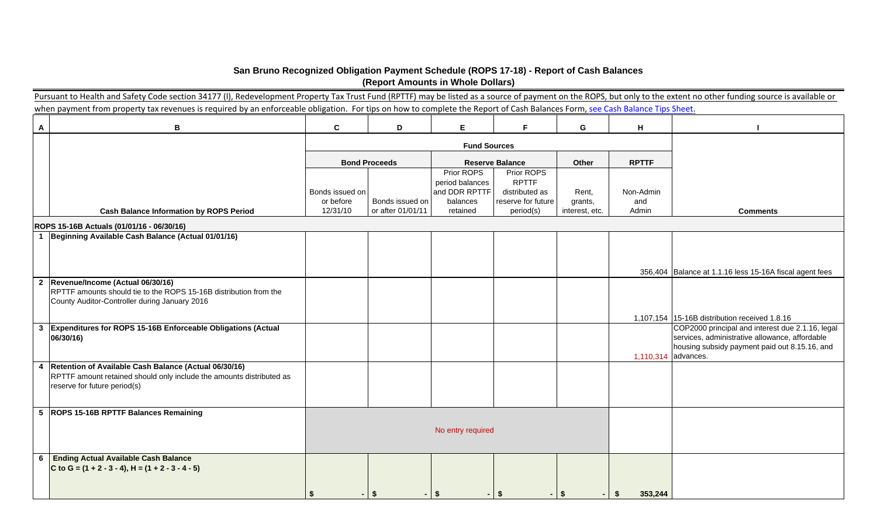## **San Bruno Recognized Obligation Payment Schedule (ROPS 17-18) - Report of Cash Balances (Report Amounts in Whole Dollars)**

|              | Pursuant to Health and Safety Code section 34177 (I), Redevelopment Property Tax Trust Fund (RPTTF) may be listed as a source of payment on the ROPS, but only to the extent no other funding source is available or |                 |                      |                                  |                                |                |                     |                                                                                                   |
|--------------|----------------------------------------------------------------------------------------------------------------------------------------------------------------------------------------------------------------------|-----------------|----------------------|----------------------------------|--------------------------------|----------------|---------------------|---------------------------------------------------------------------------------------------------|
|              | when payment from property tax revenues is required by an enforceable obligation. For tips on how to complete the Report of Cash Balances Form, see Cash Balance Tips Sheet.                                         |                 |                      |                                  |                                |                |                     |                                                                                                   |
| $\mathbf{A}$ | $\mathbf B$                                                                                                                                                                                                          | $\mathbf c$     | D                    | E                                | F.                             | G              | H                   |                                                                                                   |
|              |                                                                                                                                                                                                                      |                 |                      | <b>Fund Sources</b>              |                                |                |                     |                                                                                                   |
|              |                                                                                                                                                                                                                      |                 | <b>Bond Proceeds</b> |                                  | <b>Reserve Balance</b>         | Other          | <b>RPTTF</b>        |                                                                                                   |
|              |                                                                                                                                                                                                                      |                 |                      | Prior ROPS                       | Prior ROPS                     |                |                     |                                                                                                   |
|              |                                                                                                                                                                                                                      | Bonds issued on |                      | period balances<br>and DDR RPTTF | <b>RPTTF</b><br>distributed as | Rent,          | Non-Admin           |                                                                                                   |
|              |                                                                                                                                                                                                                      | or before       | Bonds issued on      | balances                         | reserve for future             | grants,        | and                 |                                                                                                   |
|              | <b>Cash Balance Information by ROPS Period</b>                                                                                                                                                                       | 12/31/10        | or after 01/01/11    | retained                         | period(s)                      | interest, etc. | Admin               | <b>Comments</b>                                                                                   |
|              | ROPS 15-16B Actuals (01/01/16 - 06/30/16)                                                                                                                                                                            |                 |                      |                                  |                                |                |                     |                                                                                                   |
|              | 1 Beginning Available Cash Balance (Actual 01/01/16)                                                                                                                                                                 |                 |                      |                                  |                                |                |                     |                                                                                                   |
|              |                                                                                                                                                                                                                      |                 |                      |                                  |                                |                |                     |                                                                                                   |
|              |                                                                                                                                                                                                                      |                 |                      |                                  |                                |                |                     |                                                                                                   |
|              |                                                                                                                                                                                                                      |                 |                      |                                  |                                |                |                     | 356,404 Balance at 1.1.16 less 15-16A fiscal agent fees                                           |
|              | 2 Revenue/Income (Actual 06/30/16)                                                                                                                                                                                   |                 |                      |                                  |                                |                |                     |                                                                                                   |
|              | RPTTF amounts should tie to the ROPS 15-16B distribution from the                                                                                                                                                    |                 |                      |                                  |                                |                |                     |                                                                                                   |
|              | County Auditor-Controller during January 2016                                                                                                                                                                        |                 |                      |                                  |                                |                |                     |                                                                                                   |
|              |                                                                                                                                                                                                                      |                 |                      |                                  |                                |                |                     |                                                                                                   |
|              | 3 Expenditures for ROPS 15-16B Enforceable Obligations (Actual                                                                                                                                                       |                 |                      |                                  |                                |                |                     | 1,107,154 15-16B distribution received 1.8.16<br>COP2000 principal and interest due 2.1.16, legal |
|              | 06/30/16)                                                                                                                                                                                                            |                 |                      |                                  |                                |                |                     | services, administrative allowance, affordable                                                    |
|              |                                                                                                                                                                                                                      |                 |                      |                                  |                                |                |                     | housing subsidy payment paid out 8.15.16, and                                                     |
|              |                                                                                                                                                                                                                      |                 |                      |                                  |                                |                | 1,110,314 advances. |                                                                                                   |
|              | 4 Retention of Available Cash Balance (Actual 06/30/16)                                                                                                                                                              |                 |                      |                                  |                                |                |                     |                                                                                                   |
|              | RPTTF amount retained should only include the amounts distributed as                                                                                                                                                 |                 |                      |                                  |                                |                |                     |                                                                                                   |
|              | reserve for future period(s)                                                                                                                                                                                         |                 |                      |                                  |                                |                |                     |                                                                                                   |
|              |                                                                                                                                                                                                                      |                 |                      |                                  |                                |                |                     |                                                                                                   |
|              | 5 ROPS 15-16B RPTTF Balances Remaining                                                                                                                                                                               |                 |                      |                                  |                                |                |                     |                                                                                                   |
|              |                                                                                                                                                                                                                      |                 |                      |                                  |                                |                |                     |                                                                                                   |
|              |                                                                                                                                                                                                                      |                 |                      | No entry required                |                                |                |                     |                                                                                                   |
|              |                                                                                                                                                                                                                      |                 |                      |                                  |                                |                |                     |                                                                                                   |
|              | <b>Ending Actual Available Cash Balance</b>                                                                                                                                                                          |                 |                      |                                  |                                |                |                     |                                                                                                   |
| 6            | C to G = $(1 + 2 - 3 - 4)$ , H = $(1 + 2 - 3 - 4 - 5)$                                                                                                                                                               |                 |                      |                                  |                                |                |                     |                                                                                                   |
|              |                                                                                                                                                                                                                      |                 |                      |                                  |                                |                |                     |                                                                                                   |
|              |                                                                                                                                                                                                                      |                 |                      |                                  |                                |                |                     |                                                                                                   |
|              |                                                                                                                                                                                                                      | -\$             | $-15$                | -S                               | - \$                           | $-1$ \$        | 353,244<br>\$       |                                                                                                   |